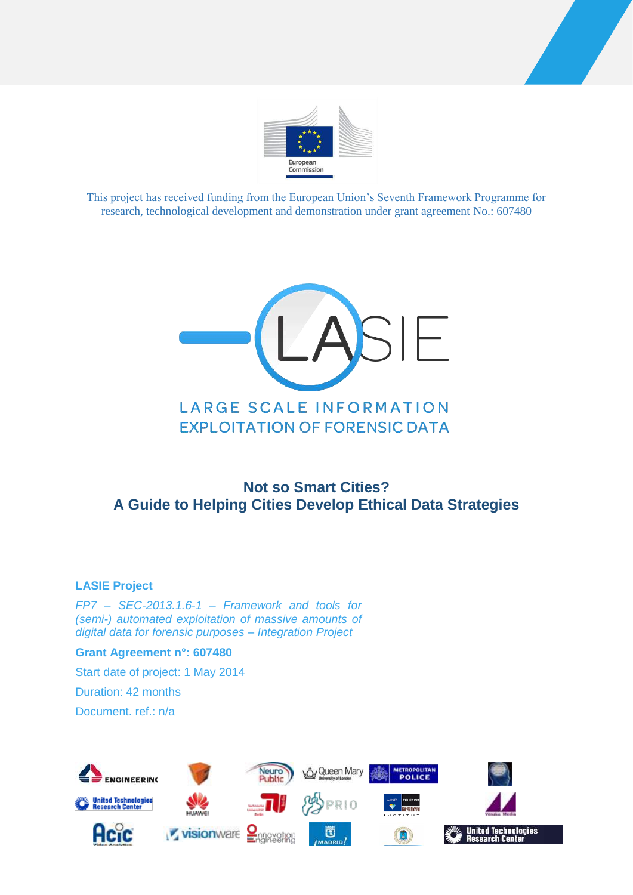



This project has received funding from the European Union's Seventh Framework Programme for research, technological development and demonstration under grant agreement No.: 607480



# **Not so Smart Cities? A Guide to Helping Cities Develop Ethical Data Strategies**

#### **LASIE Project**

*FP7 – SEC-2013.1.6-1 – Framework and tools for (semi-) automated exploitation of massive amounts of digital data for forensic purposes – Integration Project*

#### **Grant Agreement n°: 607480**

Start date of project: 1 May 2014

Duration: 42 months

Document. ref.: n/a

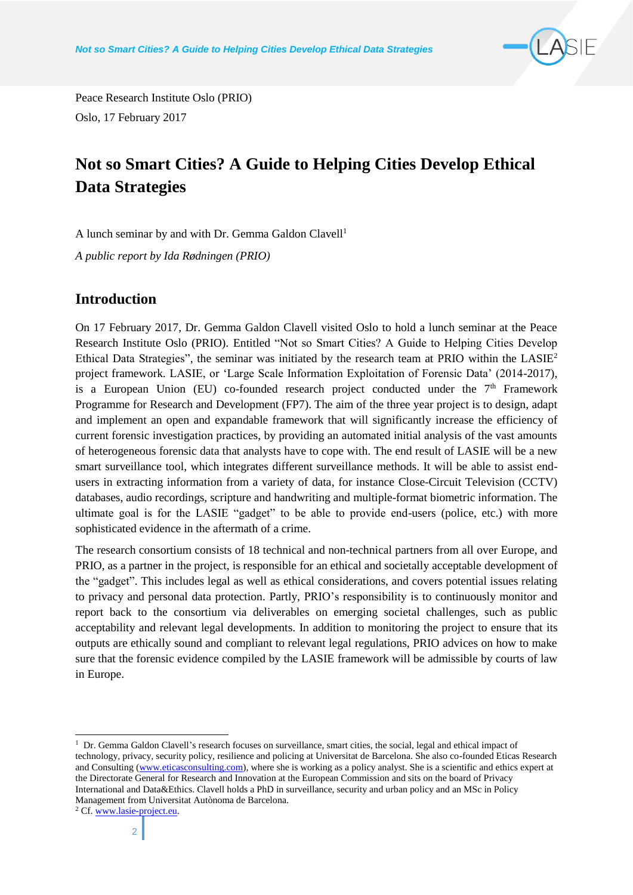

Peace Research Institute Oslo (PRIO) Oslo, 17 February 2017

# **Not so Smart Cities? A Guide to Helping Cities Develop Ethical Data Strategies**

A lunch seminar by and with Dr. Gemma Galdon Clavell<sup>1</sup> *A public report by Ida Rødningen (PRIO)*

#### **Introduction**

On 17 February 2017, Dr. Gemma Galdon Clavell visited Oslo to hold a lunch seminar at the Peace Research Institute Oslo (PRIO). Entitled "Not so Smart Cities? A Guide to Helping Cities Develop Ethical Data Strategies", the seminar was initiated by the research team at PRIO within the  $LASIE<sup>2</sup>$ project framework. LASIE, or 'Large Scale Information Exploitation of Forensic Data' (2014-2017), is a European Union (EU) co-founded research project conducted under the  $7<sup>th</sup>$  Framework Programme for Research and Development (FP7). The aim of the three year project is to design, adapt and implement an open and expandable framework that will significantly increase the efficiency of current forensic investigation practices, by providing an automated initial analysis of the vast amounts of heterogeneous forensic data that analysts have to cope with. The end result of LASIE will be a new smart surveillance tool, which integrates different surveillance methods. It will be able to assist endusers in extracting information from a variety of data, for instance Close-Circuit Television (CCTV) databases, audio recordings, scripture and handwriting and multiple-format biometric information. The ultimate goal is for the LASIE "gadget" to be able to provide end-users (police, etc.) with more sophisticated evidence in the aftermath of a crime.

The research consortium consists of 18 technical and non-technical partners from all over Europe, and PRIO, as a partner in the project, is responsible for an ethical and societally acceptable development of the "gadget". This includes legal as well as ethical considerations, and covers potential issues relating to privacy and personal data protection. Partly, PRIO's responsibility is to continuously monitor and report back to the consortium via deliverables on emerging societal challenges, such as public acceptability and relevant legal developments. In addition to monitoring the project to ensure that its outputs are ethically sound and compliant to relevant legal regulations, PRIO advices on how to make sure that the forensic evidence compiled by the LASIE framework will be admissible by courts of law in Europe.

<sup>&</sup>lt;sup>1</sup> Dr. Gemma Galdon Clavell's research focuses on surveillance, smart cities, the social, legal and ethical impact of technology, privacy, security policy, resilience and policing at Universitat de Barcelona. She also co-founded Eticas Research and Consulting [\(www.eticasconsulting.com\)](http://www.eticasconsulting.com/), where she is working as a policy analyst. She is a scientific and ethics expert at the Directorate General for Research and Innovation at the European Commission and sits on the board of Privacy International and Data&Ethics. Clavell holds a PhD in surveillance, security and urban policy and an MSc in Policy Management from Universitat Autònoma de Barcelona.

<sup>2</sup> Cf[. www.lasie-project.eu.](http://www.lasie-project.eu/)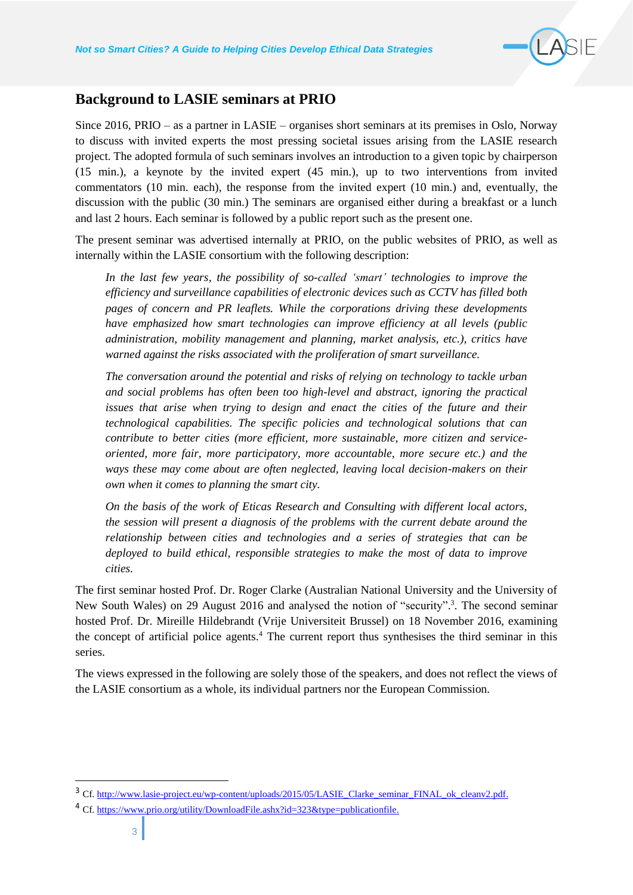

#### **Background to LASIE seminars at PRIO**

Since 2016, PRIO – as a partner in LASIE – organises short seminars at its premises in Oslo, Norway to discuss with invited experts the most pressing societal issues arising from the LASIE research project. The adopted formula of such seminars involves an introduction to a given topic by chairperson (15 min.), a keynote by the invited expert (45 min.), up to two interventions from invited commentators (10 min. each), the response from the invited expert (10 min.) and, eventually, the discussion with the public (30 min.) The seminars are organised either during a breakfast or a lunch and last 2 hours. Each seminar is followed by a public report such as the present one.

The present seminar was advertised internally at PRIO, on the public websites of PRIO, as well as internally within the LASIE consortium with the following description:

*In the last few years, the possibility of so-called 'smart' technologies to improve the efficiency and surveillance capabilities of electronic devices such as CCTV has filled both pages of concern and PR leaflets. While the corporations driving these developments have emphasized how smart technologies can improve efficiency at all levels (public administration, mobility management and planning, market analysis, etc.), critics have warned against the risks associated with the proliferation of smart surveillance.* 

*The conversation around the potential and risks of relying on technology to tackle urban and social problems has often been too high-level and abstract, ignoring the practical*  issues that arise when trying to design and enact the cities of the future and their *technological capabilities. The specific policies and technological solutions that can contribute to better cities (more efficient, more sustainable, more citizen and serviceoriented, more fair, more participatory, more accountable, more secure etc.) and the ways these may come about are often neglected, leaving local decision-makers on their own when it comes to planning the smart city.*

*On the basis of the work of Eticas Research and Consulting with different local actors, the session will present a diagnosis of the problems with the current debate around the relationship between cities and technologies and a series of strategies that can be deployed to build ethical, responsible strategies to make the most of data to improve cities.* 

The first seminar hosted Prof. Dr. Roger Clarke (Australian National University and the University of New South Wales) on 29 August 2016 and analysed the notion of "security".<sup>3</sup>. The second seminar hosted Prof. Dr. Mireille Hildebrandt (Vrije Universiteit Brussel) on 18 November 2016, examining the concept of artificial police agents.<sup>4</sup> The current report thus synthesises the third seminar in this series.

The views expressed in the following are solely those of the speakers, and does not reflect the views of the LASIE consortium as a whole, its individual partners nor the European Commission.

<sup>&</sup>lt;sup>3</sup> Cf. [http://www.lasie-project.eu/wp-content/uploads/2015/05/LASIE\\_Clarke\\_seminar\\_FINAL\\_ok\\_cleanv2.pdf.](http://www.lasie-project.eu/wp-content/uploads/2015/05/LASIE_Clarke_seminar_FINAL_ok_cleanv2.pdf)

<sup>4</sup> Cf. [https://www.prio.org/utility/DownloadFile.ashx?id=323&type=publicationfile.](https://www.prio.org/utility/DownloadFile.ashx?id=323&type=publicationfile)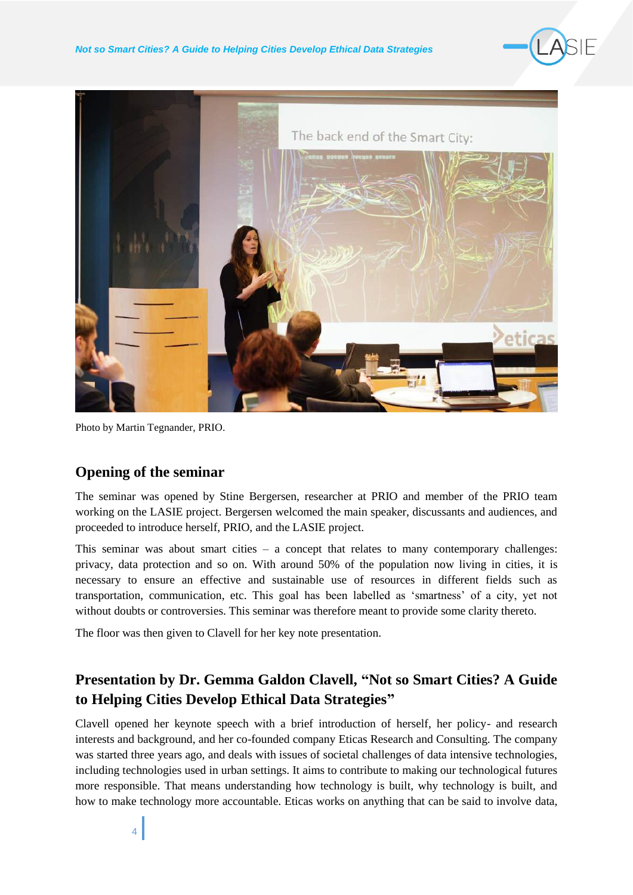



Photo by Martin Tegnander, PRIO.

#### **Opening of the seminar**

The seminar was opened by Stine Bergersen, researcher at PRIO and member of the PRIO team working on the LASIE project. Bergersen welcomed the main speaker, discussants and audiences, and proceeded to introduce herself, PRIO, and the LASIE project.

This seminar was about smart cities – a concept that relates to many contemporary challenges: privacy, data protection and so on. With around 50% of the population now living in cities, it is necessary to ensure an effective and sustainable use of resources in different fields such as transportation, communication, etc. This goal has been labelled as 'smartness' of a city, yet not without doubts or controversies. This seminar was therefore meant to provide some clarity thereto.

The floor was then given to Clavell for her key note presentation.

# **Presentation by Dr. Gemma Galdon Clavell, "Not so Smart Cities? A Guide to Helping Cities Develop Ethical Data Strategies"**

Clavell opened her keynote speech with a brief introduction of herself, her policy- and research interests and background, and her co-founded company Eticas Research and Consulting. The company was started three years ago, and deals with issues of societal challenges of data intensive technologies, including technologies used in urban settings. It aims to contribute to making our technological futures more responsible. That means understanding how technology is built, why technology is built, and how to make technology more accountable. Eticas works on anything that can be said to involve data,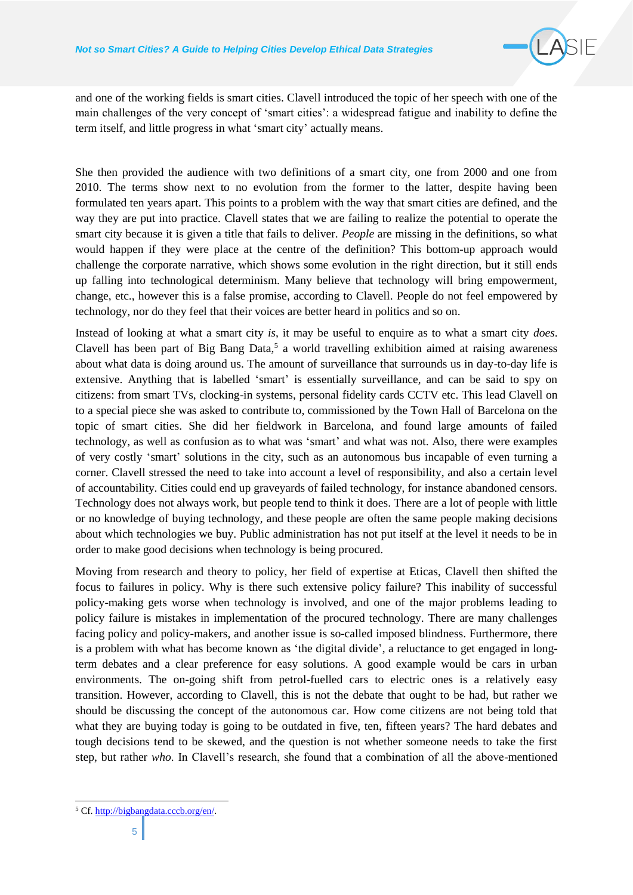

and one of the working fields is smart cities. Clavell introduced the topic of her speech with one of the main challenges of the very concept of 'smart cities': a widespread fatigue and inability to define the term itself, and little progress in what 'smart city' actually means.

She then provided the audience with two definitions of a smart city, one from 2000 and one from 2010. The terms show next to no evolution from the former to the latter, despite having been formulated ten years apart. This points to a problem with the way that smart cities are defined, and the way they are put into practice. Clavell states that we are failing to realize the potential to operate the smart city because it is given a title that fails to deliver. *People* are missing in the definitions, so what would happen if they were place at the centre of the definition? This bottom-up approach would challenge the corporate narrative, which shows some evolution in the right direction, but it still ends up falling into technological determinism. Many believe that technology will bring empowerment, change, etc., however this is a false promise, according to Clavell. People do not feel empowered by technology, nor do they feel that their voices are better heard in politics and so on.

Instead of looking at what a smart city *is*, it may be useful to enquire as to what a smart city *does*. Clavell has been part of Big Bang Data, $5$  a world travelling exhibition aimed at raising awareness about what data is doing around us. The amount of surveillance that surrounds us in day-to-day life is extensive. Anything that is labelled 'smart' is essentially surveillance, and can be said to spy on citizens: from smart TVs, clocking-in systems, personal fidelity cards CCTV etc. This lead Clavell on to a special piece she was asked to contribute to, commissioned by the Town Hall of Barcelona on the topic of smart cities. She did her fieldwork in Barcelona, and found large amounts of failed technology, as well as confusion as to what was 'smart' and what was not. Also, there were examples of very costly 'smart' solutions in the city, such as an autonomous bus incapable of even turning a corner. Clavell stressed the need to take into account a level of responsibility, and also a certain level of accountability. Cities could end up graveyards of failed technology, for instance abandoned censors. Technology does not always work, but people tend to think it does. There are a lot of people with little or no knowledge of buying technology, and these people are often the same people making decisions about which technologies we buy. Public administration has not put itself at the level it needs to be in order to make good decisions when technology is being procured.

Moving from research and theory to policy, her field of expertise at Eticas, Clavell then shifted the focus to failures in policy. Why is there such extensive policy failure? This inability of successful policy-making gets worse when technology is involved, and one of the major problems leading to policy failure is mistakes in implementation of the procured technology. There are many challenges facing policy and policy-makers, and another issue is so-called imposed blindness. Furthermore, there is a problem with what has become known as 'the digital divide', a reluctance to get engaged in longterm debates and a clear preference for easy solutions. A good example would be cars in urban environments. The on-going shift from petrol-fuelled cars to electric ones is a relatively easy transition. However, according to Clavell, this is not the debate that ought to be had, but rather we should be discussing the concept of the autonomous car. How come citizens are not being told that what they are buying today is going to be outdated in five, ten, fifteen years? The hard debates and tough decisions tend to be skewed, and the question is not whether someone needs to take the first step, but rather *who*. In Clavell's research, she found that a combination of all the above-mentioned

<sup>5</sup> Cf[. http://bigbangdata.cccb.org/en/.](http://bigbangdata.cccb.org/en/)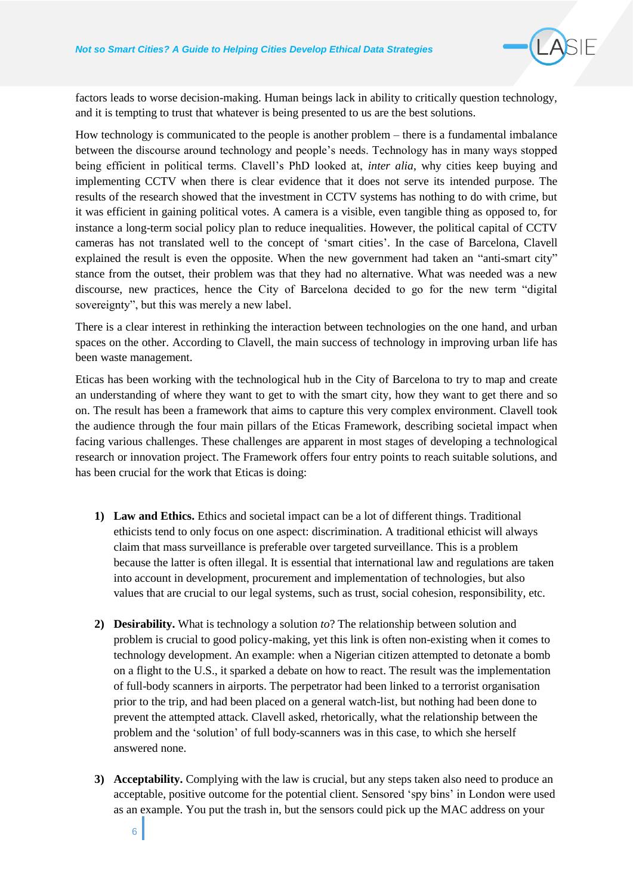

factors leads to worse decision-making. Human beings lack in ability to critically question technology, and it is tempting to trust that whatever is being presented to us are the best solutions.

How technology is communicated to the people is another problem – there is a fundamental imbalance between the discourse around technology and people's needs. Technology has in many ways stopped being efficient in political terms. Clavell's PhD looked at, *inter alia*, why cities keep buying and implementing CCTV when there is clear evidence that it does not serve its intended purpose. The results of the research showed that the investment in CCTV systems has nothing to do with crime, but it was efficient in gaining political votes. A camera is a visible, even tangible thing as opposed to, for instance a long-term social policy plan to reduce inequalities. However, the political capital of CCTV cameras has not translated well to the concept of 'smart cities'. In the case of Barcelona, Clavell explained the result is even the opposite. When the new government had taken an "anti-smart city" stance from the outset, their problem was that they had no alternative. What was needed was a new discourse, new practices, hence the City of Barcelona decided to go for the new term "digital sovereignty", but this was merely a new label.

There is a clear interest in rethinking the interaction between technologies on the one hand, and urban spaces on the other. According to Clavell, the main success of technology in improving urban life has been waste management.

Eticas has been working with the technological hub in the City of Barcelona to try to map and create an understanding of where they want to get to with the smart city, how they want to get there and so on. The result has been a framework that aims to capture this very complex environment. Clavell took the audience through the four main pillars of the Eticas Framework, describing societal impact when facing various challenges. These challenges are apparent in most stages of developing a technological research or innovation project. The Framework offers four entry points to reach suitable solutions, and has been crucial for the work that Eticas is doing:

- **1) Law and Ethics.** Ethics and societal impact can be a lot of different things. Traditional ethicists tend to only focus on one aspect: discrimination. A traditional ethicist will always claim that mass surveillance is preferable over targeted surveillance. This is a problem because the latter is often illegal. It is essential that international law and regulations are taken into account in development, procurement and implementation of technologies, but also values that are crucial to our legal systems, such as trust, social cohesion, responsibility, etc.
- **2) Desirability.** What is technology a solution *to*? The relationship between solution and problem is crucial to good policy-making, yet this link is often non-existing when it comes to technology development. An example: when a Nigerian citizen attempted to detonate a bomb on a flight to the U.S., it sparked a debate on how to react. The result was the implementation of full-body scanners in airports. The perpetrator had been linked to a terrorist organisation prior to the trip, and had been placed on a general watch-list, but nothing had been done to prevent the attempted attack. Clavell asked, rhetorically, what the relationship between the problem and the 'solution' of full body-scanners was in this case, to which she herself answered none.
- **3) Acceptability.** Complying with the law is crucial, but any steps taken also need to produce an acceptable, positive outcome for the potential client. Sensored 'spy bins' in London were used as an example. You put the trash in, but the sensors could pick up the MAC address on your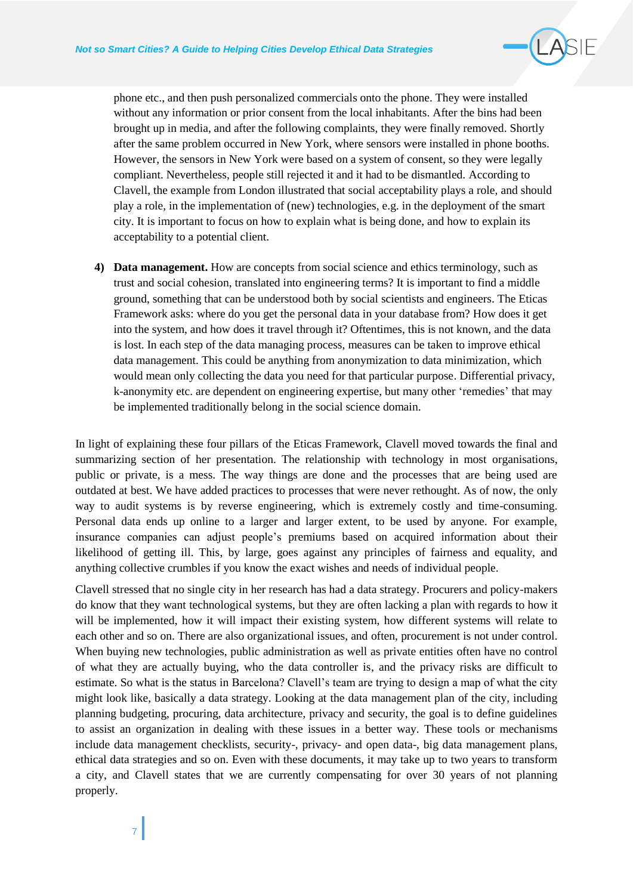

phone etc., and then push personalized commercials onto the phone. They were installed without any information or prior consent from the local inhabitants. After the bins had been brought up in media, and after the following complaints, they were finally removed. Shortly after the same problem occurred in New York, where sensors were installed in phone booths. However, the sensors in New York were based on a system of consent, so they were legally compliant. Nevertheless, people still rejected it and it had to be dismantled. According to Clavell, the example from London illustrated that social acceptability plays a role, and should play a role, in the implementation of (new) technologies, e.g. in the deployment of the smart city. It is important to focus on how to explain what is being done, and how to explain its acceptability to a potential client.

**4) Data management.** How are concepts from social science and ethics terminology, such as trust and social cohesion, translated into engineering terms? It is important to find a middle ground, something that can be understood both by social scientists and engineers. The Eticas Framework asks: where do you get the personal data in your database from? How does it get into the system, and how does it travel through it? Oftentimes, this is not known, and the data is lost. In each step of the data managing process, measures can be taken to improve ethical data management. This could be anything from anonymization to data minimization, which would mean only collecting the data you need for that particular purpose. Differential privacy, k-anonymity etc. are dependent on engineering expertise, but many other 'remedies' that may be implemented traditionally belong in the social science domain.

In light of explaining these four pillars of the Eticas Framework, Clavell moved towards the final and summarizing section of her presentation. The relationship with technology in most organisations, public or private, is a mess. The way things are done and the processes that are being used are outdated at best. We have added practices to processes that were never rethought. As of now, the only way to audit systems is by reverse engineering, which is extremely costly and time-consuming. Personal data ends up online to a larger and larger extent, to be used by anyone. For example, insurance companies can adjust people's premiums based on acquired information about their likelihood of getting ill. This, by large, goes against any principles of fairness and equality, and anything collective crumbles if you know the exact wishes and needs of individual people.

Clavell stressed that no single city in her research has had a data strategy. Procurers and policy-makers do know that they want technological systems, but they are often lacking a plan with regards to how it will be implemented, how it will impact their existing system, how different systems will relate to each other and so on. There are also organizational issues, and often, procurement is not under control. When buying new technologies, public administration as well as private entities often have no control of what they are actually buying, who the data controller is, and the privacy risks are difficult to estimate. So what is the status in Barcelona? Clavell's team are trying to design a map of what the city might look like, basically a data strategy. Looking at the data management plan of the city, including planning budgeting, procuring, data architecture, privacy and security, the goal is to define guidelines to assist an organization in dealing with these issues in a better way. These tools or mechanisms include data management checklists, security-, privacy- and open data-, big data management plans, ethical data strategies and so on. Even with these documents, it may take up to two years to transform a city, and Clavell states that we are currently compensating for over 30 years of not planning properly.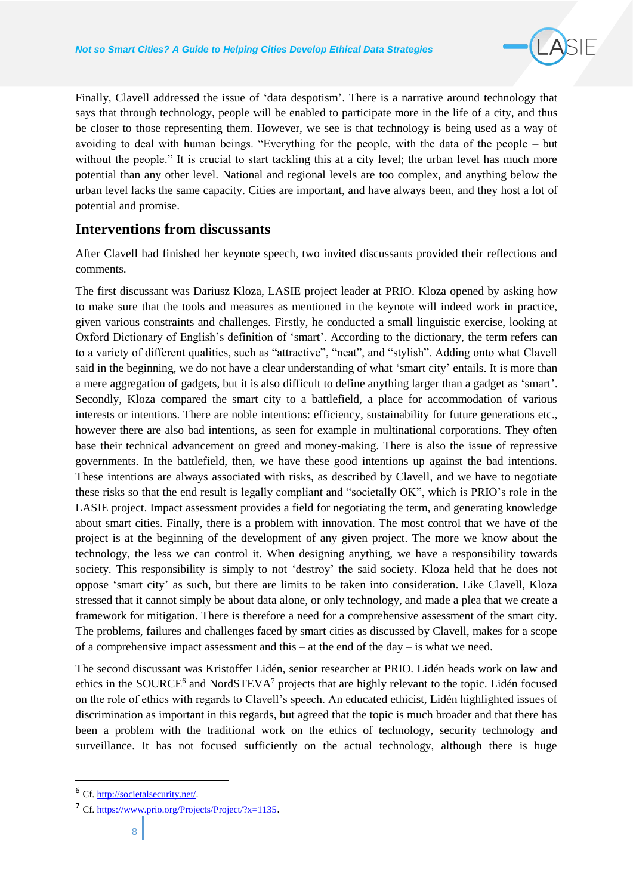

Finally, Clavell addressed the issue of 'data despotism'. There is a narrative around technology that says that through technology, people will be enabled to participate more in the life of a city, and thus be closer to those representing them. However, we see is that technology is being used as a way of avoiding to deal with human beings. "Everything for the people, with the data of the people – but without the people." It is crucial to start tackling this at a city level; the urban level has much more potential than any other level. National and regional levels are too complex, and anything below the urban level lacks the same capacity. Cities are important, and have always been, and they host a lot of potential and promise.

## **Interventions from discussants**

After Clavell had finished her keynote speech, two invited discussants provided their reflections and comments.

The first discussant was Dariusz Kloza, LASIE project leader at PRIO. Kloza opened by asking how to make sure that the tools and measures as mentioned in the keynote will indeed work in practice, given various constraints and challenges. Firstly, he conducted a small linguistic exercise, looking at Oxford Dictionary of English's definition of 'smart'. According to the dictionary, the term refers can to a variety of different qualities, such as "attractive", "neat", and "stylish". Adding onto what Clavell said in the beginning, we do not have a clear understanding of what 'smart city' entails. It is more than a mere aggregation of gadgets, but it is also difficult to define anything larger than a gadget as 'smart'. Secondly, Kloza compared the smart city to a battlefield, a place for accommodation of various interests or intentions. There are noble intentions: efficiency, sustainability for future generations etc., however there are also bad intentions, as seen for example in multinational corporations. They often base their technical advancement on greed and money-making. There is also the issue of repressive governments. In the battlefield, then, we have these good intentions up against the bad intentions. These intentions are always associated with risks, as described by Clavell, and we have to negotiate these risks so that the end result is legally compliant and "societally OK", which is PRIO's role in the LASIE project. Impact assessment provides a field for negotiating the term, and generating knowledge about smart cities. Finally, there is a problem with innovation. The most control that we have of the project is at the beginning of the development of any given project. The more we know about the technology, the less we can control it. When designing anything, we have a responsibility towards society. This responsibility is simply to not 'destroy' the said society. Kloza held that he does not oppose 'smart city' as such, but there are limits to be taken into consideration. Like Clavell, Kloza stressed that it cannot simply be about data alone, or only technology, and made a plea that we create a framework for mitigation. There is therefore a need for a comprehensive assessment of the smart city. The problems, failures and challenges faced by smart cities as discussed by Clavell, makes for a scope of a comprehensive impact assessment and this – at the end of the day – is what we need.

The second discussant was Kristoffer Lidén, senior researcher at PRIO. Lidén heads work on law and ethics in the SOURCE<sup>6</sup> and NordSTEVA<sup>7</sup> projects that are highly relevant to the topic. Lidén focused on the role of ethics with regards to Clavell's speech. An educated ethicist, Lidén highlighted issues of discrimination as important in this regards, but agreed that the topic is much broader and that there has been a problem with the traditional work on the ethics of technology, security technology and surveillance. It has not focused sufficiently on the actual technology, although there is huge

<sup>6</sup> Cf. [http://societalsecurity.net/.](http://societalsecurity.net/)

<sup>7</sup> Cf.<https://www.prio.org/Projects/Project/?x=1135>.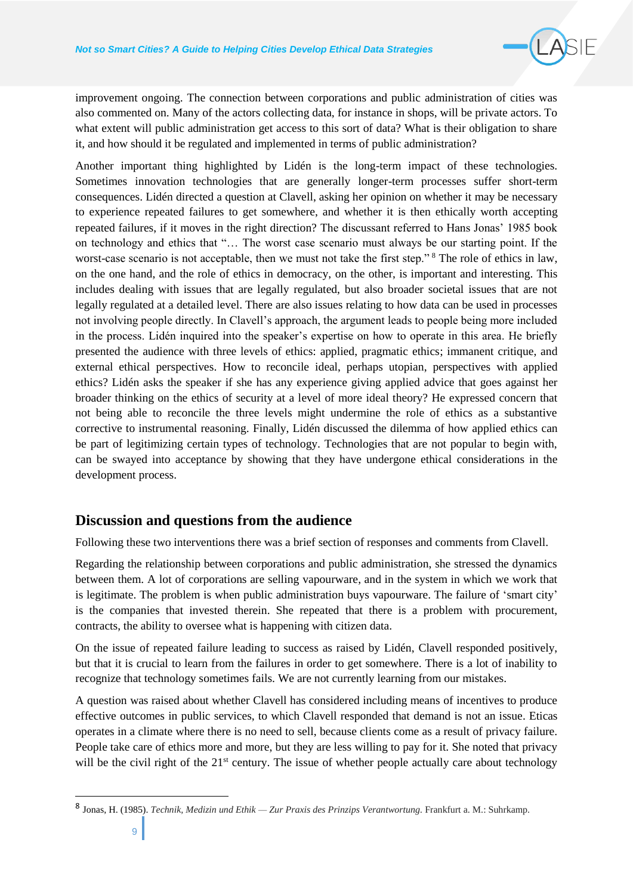

improvement ongoing. The connection between corporations and public administration of cities was also commented on. Many of the actors collecting data, for instance in shops, will be private actors. To what extent will public administration get access to this sort of data? What is their obligation to share it, and how should it be regulated and implemented in terms of public administration?

Another important thing highlighted by Lidén is the long-term impact of these technologies. Sometimes innovation technologies that are generally longer-term processes suffer short-term consequences. Lidén directed a question at Clavell, asking her opinion on whether it may be necessary to experience repeated failures to get somewhere, and whether it is then ethically worth accepting repeated failures, if it moves in the right direction? The discussant referred to Hans Jonas' 1985 book on technology and ethics that "… The worst case scenario must always be our starting point. If the worst-case scenario is not acceptable, then we must not take the first step." <sup>8</sup> The role of ethics in law, on the one hand, and the role of ethics in democracy, on the other, is important and interesting. This includes dealing with issues that are legally regulated, but also broader societal issues that are not legally regulated at a detailed level. There are also issues relating to how data can be used in processes not involving people directly. In Clavell's approach, the argument leads to people being more included in the process. Lidén inquired into the speaker's expertise on how to operate in this area. He briefly presented the audience with three levels of ethics: applied, pragmatic ethics; immanent critique, and external ethical perspectives. How to reconcile ideal, perhaps utopian, perspectives with applied ethics? Lidén asks the speaker if she has any experience giving applied advice that goes against her broader thinking on the ethics of security at a level of more ideal theory? He expressed concern that not being able to reconcile the three levels might undermine the role of ethics as a substantive corrective to instrumental reasoning. Finally, Lidén discussed the dilemma of how applied ethics can be part of legitimizing certain types of technology. Technologies that are not popular to begin with, can be swayed into acceptance by showing that they have undergone ethical considerations in the development process.

### **Discussion and questions from the audience**

Following these two interventions there was a brief section of responses and comments from Clavell.

Regarding the relationship between corporations and public administration, she stressed the dynamics between them. A lot of corporations are selling vapourware, and in the system in which we work that is legitimate. The problem is when public administration buys vapourware. The failure of 'smart city' is the companies that invested therein. She repeated that there is a problem with procurement, contracts, the ability to oversee what is happening with citizen data.

On the issue of repeated failure leading to success as raised by Lidén, Clavell responded positively, but that it is crucial to learn from the failures in order to get somewhere. There is a lot of inability to recognize that technology sometimes fails. We are not currently learning from our mistakes.

A question was raised about whether Clavell has considered including means of incentives to produce effective outcomes in public services, to which Clavell responded that demand is not an issue. Eticas operates in a climate where there is no need to sell, because clients come as a result of privacy failure. People take care of ethics more and more, but they are less willing to pay for it. She noted that privacy will be the civil right of the 21<sup>st</sup> century. The issue of whether people actually care about technology

<sup>8</sup> Jonas, H. (1985). *Technik, Medizin und Ethik — Zur Praxis des Prinzips Verantwortung.* Frankfurt a. M.: Suhrkamp.